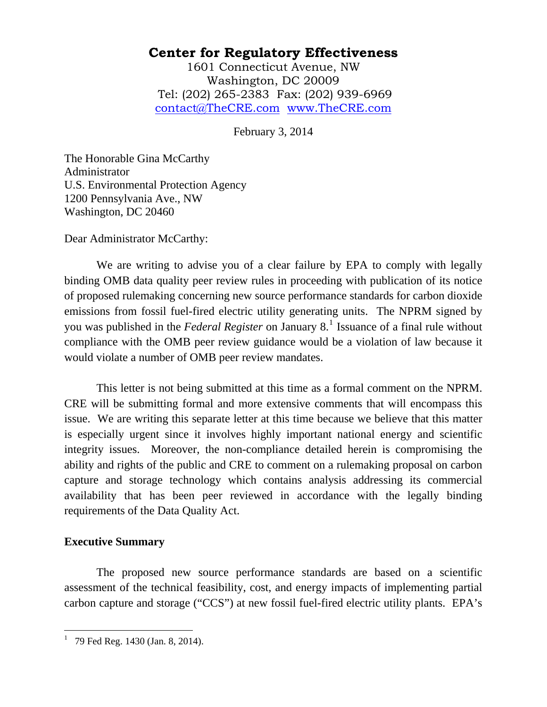1601 Connecticut Avenue, NW Washington, DC 20009 Tel: (202) 265-2383 Fax: (202) 939-6969 contact@TheCRE.com www.TheCRE.com

February 3, 2014

The Honorable Gina McCarthy Administrator U.S. Environmental Protection Agency 1200 Pennsylvania Ave., NW Washington, DC 20460

Dear Administrator McCarthy:

 We are writing to advise you of a clear failure by EPA to comply with legally binding OMB data quality peer review rules in proceeding with publication of its notice of proposed rulemaking concerning new source performance standards for carbon dioxide emissions from fossil fuel-fired electric utility generating units. The NPRM signed by you was published in the *Federal Register* on January 8.<sup>[1](#page-0-0)</sup> Issuance of a final rule without compliance with the OMB peer review guidance would be a violation of law because it would violate a number of OMB peer review mandates.

This letter is not being submitted at this time as a formal comment on the NPRM. CRE will be submitting formal and more extensive comments that will encompass this issue. We are writing this separate letter at this time because we believe that this matter is especially urgent since it involves highly important national energy and scientific integrity issues. Moreover, the non-compliance detailed herein is compromising the ability and rights of the public and CRE to comment on a rulemaking proposal on carbon capture and storage technology which contains analysis addressing its commercial availability that has been peer reviewed in accordance with the legally binding requirements of the Data Quality Act.

#### **Executive Summary**

 $\overline{a}$ 

The proposed new source performance standards are based on a scientific assessment of the technical feasibility, cost, and energy impacts of implementing partial carbon capture and storage ("CCS") at new fossil fuel-fired electric utility plants. EPA's

<span id="page-0-0"></span><sup>&</sup>lt;sup>1</sup> 79 Fed Reg. 1430 (Jan. 8, 2014).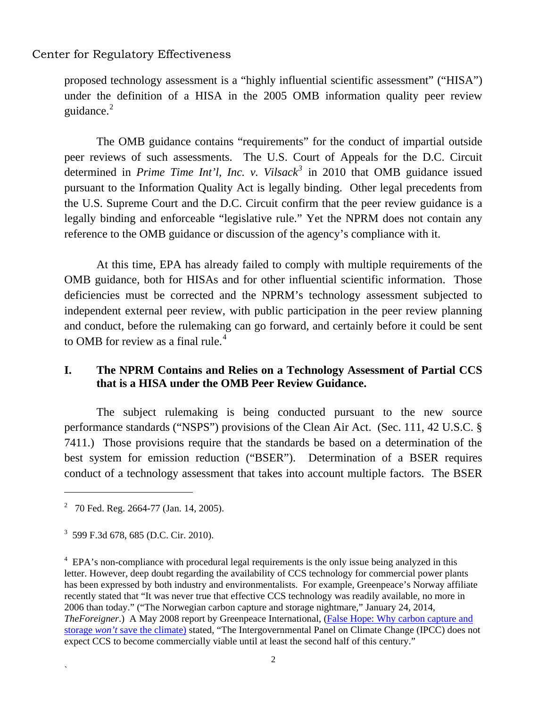proposed technology assessment is a "highly influential scientific assessment" ("HISA") under the definition of a HISA in the 2005 OMB information quality peer review guidance. $2$ 

 The OMB guidance contains "requirements" for the conduct of impartial outside peer reviews of such assessments. The U.S. Court of Appeals for the D.C. Circuit determined in *Prime Time Int'l, Inc. v. Vilsack[3](#page-1-1)* in 2010 that OMB guidance issued pursuant to the Information Quality Act is legally binding. Other legal precedents from the U.S. Supreme Court and the D.C. Circuit confirm that the peer review guidance is a legally binding and enforceable "legislative rule." Yet the NPRM does not contain any reference to the OMB guidance or discussion of the agency's compliance with it.

 At this time, EPA has already failed to comply with multiple requirements of the OMB guidance, both for HISAs and for other influential scientific information. Those deficiencies must be corrected and the NPRM's technology assessment subjected to independent external peer review, with public participation in the peer review planning and conduct, before the rulemaking can go forward, and certainly before it could be sent to OMB for review as a final rule.<sup>[4](#page-1-2)</sup>

## **I. The NPRM Contains and Relies on a Technology Assessment of Partial CCS that is a HISA under the OMB Peer Review Guidance.**

The subject rulemaking is being conducted pursuant to the new source performance standards ("NSPS") provisions of the Clean Air Act. (Sec. 111, 42 U.S.C. § 7411.) Those provisions require that the standards be based on a determination of the best system for emission reduction ("BSER"). Determination of a BSER requires conduct of a technology assessment that takes into account multiple factors. The BSER

1

`

<span id="page-1-0"></span> $2^2$  70 Fed. Reg. 2664-77 (Jan. 14, 2005).

<span id="page-1-1"></span><sup>3</sup> 599 F.3d 678, 685 (D.C. Cir. 2010).

<span id="page-1-2"></span><sup>&</sup>lt;sup>4</sup> EPA's non-compliance with procedural legal requirements is the only issue being analyzed in this letter. However, deep doubt regarding the availability of CCS technology for commercial power plants has been expressed by both industry and environmentalists. For example, Greenpeace's Norway affiliate recently stated that "It was never true that effective CCS technology was readily available, no more in 2006 than today." ("The Norwegian carbon capture and storage nightmare," January 24, 2014, *TheForeigner*.) A May 2008 report by Greenpeace International, [\(False Hope: Why carbon capture and](http://www.greenpeace.org/usa/en/media-center/reports/false-hope-why-carbon-capture)  storage *won't* [save the climate\)](http://www.greenpeace.org/usa/en/media-center/reports/false-hope-why-carbon-capture) stated, "The Intergovernmental Panel on Climate Change (IPCC) does not expect CCS to become commercially viable until at least the second half of this century."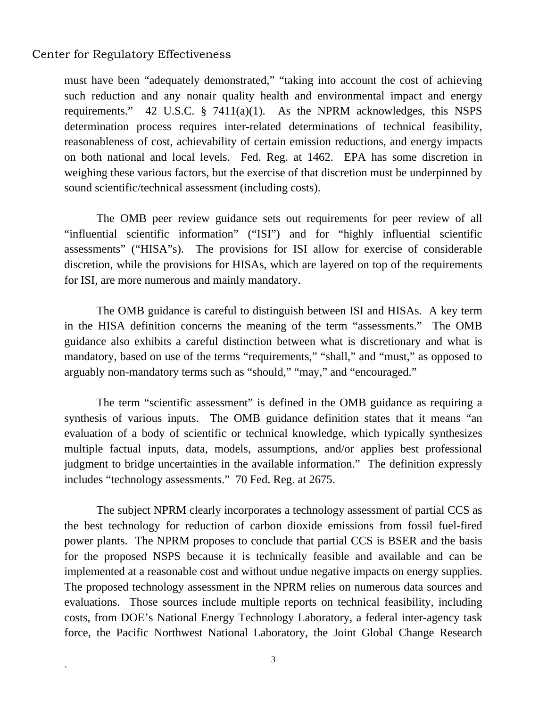`

must have been "adequately demonstrated," "taking into account the cost of achieving such reduction and any nonair quality health and environmental impact and energy requirements." 42 U.S.C. § 7411(a)(1). As the NPRM acknowledges, this NSPS determination process requires inter-related determinations of technical feasibility, reasonableness of cost, achievability of certain emission reductions, and energy impacts on both national and local levels. Fed. Reg. at 1462. EPA has some discretion in weighing these various factors, but the exercise of that discretion must be underpinned by sound scientific/technical assessment (including costs).

 The OMB peer review guidance sets out requirements for peer review of all "influential scientific information" ("ISI") and for "highly influential scientific assessments" ("HISA"s). The provisions for ISI allow for exercise of considerable discretion, while the provisions for HISAs, which are layered on top of the requirements for ISI, are more numerous and mainly mandatory.

 The OMB guidance is careful to distinguish between ISI and HISAs. A key term in the HISA definition concerns the meaning of the term "assessments." The OMB guidance also exhibits a careful distinction between what is discretionary and what is mandatory, based on use of the terms "requirements," "shall," and "must," as opposed to arguably non-mandatory terms such as "should," "may," and "encouraged."

 The term "scientific assessment" is defined in the OMB guidance as requiring a synthesis of various inputs. The OMB guidance definition states that it means "an evaluation of a body of scientific or technical knowledge, which typically synthesizes multiple factual inputs, data, models, assumptions, and/or applies best professional judgment to bridge uncertainties in the available information." The definition expressly includes "technology assessments." 70 Fed. Reg. at 2675.

 The subject NPRM clearly incorporates a technology assessment of partial CCS as the best technology for reduction of carbon dioxide emissions from fossil fuel-fired power plants. The NPRM proposes to conclude that partial CCS is BSER and the basis for the proposed NSPS because it is technically feasible and available and can be implemented at a reasonable cost and without undue negative impacts on energy supplies. The proposed technology assessment in the NPRM relies on numerous data sources and evaluations. Those sources include multiple reports on technical feasibility, including costs, from DOE's National Energy Technology Laboratory, a federal inter-agency task force, the Pacific Northwest National Laboratory, the Joint Global Change Research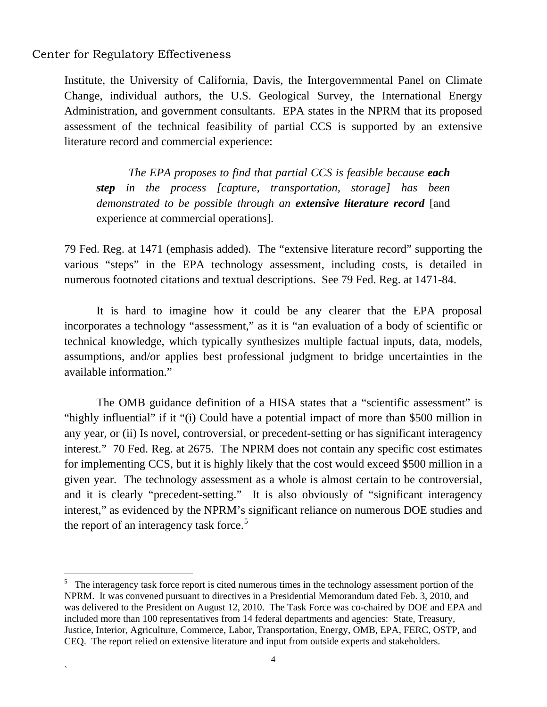1

`

Institute, the University of California, Davis, the Intergovernmental Panel on Climate Change, individual authors, the U.S. Geological Survey, the International Energy Administration, and government consultants. EPA states in the NPRM that its proposed assessment of the technical feasibility of partial CCS is supported by an extensive literature record and commercial experience:

*The EPA proposes to find that partial CCS is feasible because each step in the process [capture, transportation, storage] has been demonstrated to be possible through an extensive literature record* [and experience at commercial operations].

79 Fed. Reg. at 1471 (emphasis added). The "extensive literature record" supporting the various "steps" in the EPA technology assessment, including costs, is detailed in numerous footnoted citations and textual descriptions. See 79 Fed. Reg. at 1471-84.

 It is hard to imagine how it could be any clearer that the EPA proposal incorporates a technology "assessment," as it is "an evaluation of a body of scientific or technical knowledge, which typically synthesizes multiple factual inputs, data, models, assumptions, and/or applies best professional judgment to bridge uncertainties in the available information."

 The OMB guidance definition of a HISA states that a "scientific assessment" is "highly influential" if it "(i) Could have a potential impact of more than \$500 million in any year, or (ii) Is novel, controversial, or precedent-setting or has significant interagency interest." 70 Fed. Reg. at 2675. The NPRM does not contain any specific cost estimates for implementing CCS, but it is highly likely that the cost would exceed \$500 million in a given year. The technology assessment as a whole is almost certain to be controversial, and it is clearly "precedent-setting." It is also obviously of "significant interagency interest," as evidenced by the NPRM's significant reliance on numerous DOE studies and the report of an interagency task force.<sup>[5](#page-3-0)</sup>

<span id="page-3-0"></span><sup>&</sup>lt;sup>5</sup> The interagency task force report is cited numerous times in the technology assessment portion of the NPRM. It was convened pursuant to directives in a Presidential Memorandum dated Feb. 3, 2010, and was delivered to the President on August 12, 2010. The Task Force was co-chaired by DOE and EPA and included more than 100 representatives from 14 federal departments and agencies: State, Treasury, Justice, Interior, Agriculture, Commerce, Labor, Transportation, Energy, OMB, EPA, FERC, OSTP, and CEQ. The report relied on extensive literature and input from outside experts and stakeholders.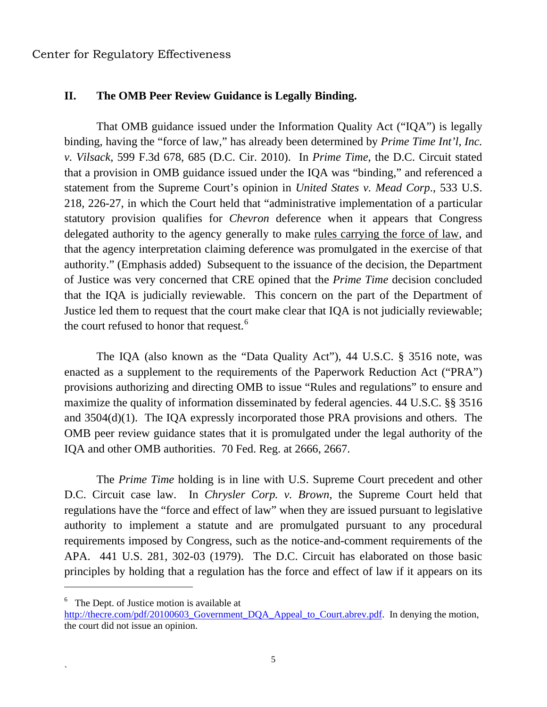$\overline{a}$ 

`

### **II. The OMB Peer Review Guidance is Legally Binding.**

That OMB guidance issued under the Information Quality Act ("IQA") is legally binding, having the "force of law," has already been determined by *Prime Time Int'l, Inc. v. Vilsack*, 599 F.3d 678, 685 (D.C. Cir. 2010). In *Prime Time*, the D.C. Circuit stated that a provision in OMB guidance issued under the IQA was "binding," and referenced a statement from the Supreme Court's opinion in *United States v. Mead Corp*., 533 U.S. 218, 226-27, in which the Court held that "administrative implementation of a particular statutory provision qualifies for *Chevron* deference when it appears that Congress delegated authority to the agency generally to make rules carrying the force of law, and that the agency interpretation claiming deference was promulgated in the exercise of that authority." (Emphasis added) Subsequent to the issuance of the decision, the Department of Justice was very concerned that CRE opined that the *Prime Time* decision concluded that the IQA is judicially reviewable. This concern on the part of the Department of Justice led them to request that the court make clear that IQA is not judicially reviewable; the court refused to honor that request.<sup>[6](#page-4-0)</sup>

 The IQA (also known as the "Data Quality Act"), 44 U.S.C. § 3516 note, was enacted as a supplement to the requirements of the Paperwork Reduction Act ("PRA") provisions authorizing and directing OMB to issue "Rules and regulations" to ensure and maximize the quality of information disseminated by federal agencies. 44 U.S.C. §§ 3516 and 3504(d)(1). The IQA expressly incorporated those PRA provisions and others. The OMB peer review guidance states that it is promulgated under the legal authority of the IQA and other OMB authorities. 70 Fed. Reg. at 2666, 2667.

 The *Prime Time* holding is in line with U.S. Supreme Court precedent and other D.C. Circuit case law. In *Chrysler Corp. v. Brown*, the Supreme Court held that regulations have the "force and effect of law" when they are issued pursuant to legislative authority to implement a statute and are promulgated pursuant to any procedural requirements imposed by Congress, such as the notice-and-comment requirements of the APA. 441 U.S. 281, 302-03 (1979). The D.C. Circuit has elaborated on those basic principles by holding that a regulation has the force and effect of law if it appears on its

<span id="page-4-0"></span><sup>&</sup>lt;sup>6</sup> The Dept. of Justice motion is available at [http://thecre.com/pdf/20100603\\_Government\\_DQA\\_Appeal\\_to\\_Court.abrev.pdf.](http://thecre.com/pdf/20100603_Government_DQA_Appeal_to_Court.abrev.pdf) In denying the motion, the court did not issue an opinion.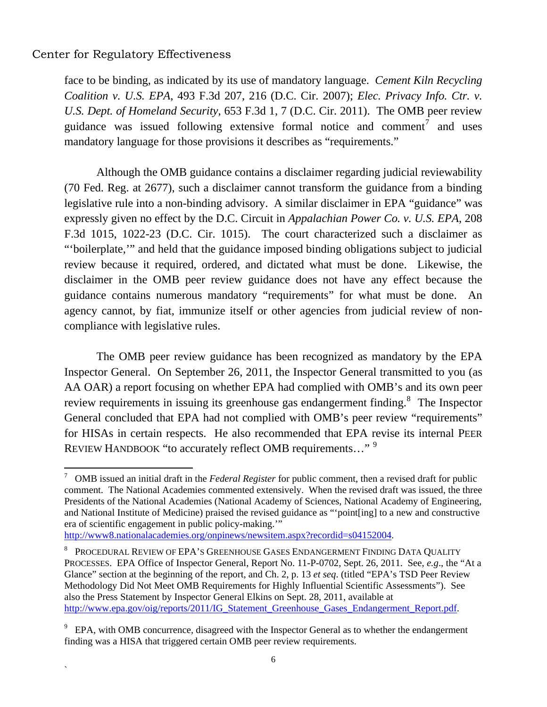<u>.</u>

`

face to be binding, as indicated by its use of mandatory language. *Cement Kiln Recycling Coalition v. U.S. EPA*, 493 F.3d 207, 216 (D.C. Cir. 2007); *Elec. Privacy Info. Ctr. v. U.S. Dept. of Homeland Security*, 653 F.3d 1, 7 (D.C. Cir. 2011). The OMB peer review guidance was issued following extensive formal notice and comment<sup>[7](#page-5-0)</sup> and uses mandatory language for those provisions it describes as "requirements."

 Although the OMB guidance contains a disclaimer regarding judicial reviewability (70 Fed. Reg. at 2677), such a disclaimer cannot transform the guidance from a binding legislative rule into a non-binding advisory. A similar disclaimer in EPA "guidance" was expressly given no effect by the D.C. Circuit in *Appalachian Power Co. v. U.S. EPA*, 208 F.3d 1015, 1022-23 (D.C. Cir. 1015). The court characterized such a disclaimer as "'boilerplate,'" and held that the guidance imposed binding obligations subject to judicial review because it required, ordered, and dictated what must be done. Likewise, the disclaimer in the OMB peer review guidance does not have any effect because the guidance contains numerous mandatory "requirements" for what must be done. An agency cannot, by fiat, immunize itself or other agencies from judicial review of noncompliance with legislative rules.

 The OMB peer review guidance has been recognized as mandatory by the EPA Inspector General. On September 26, 2011, the Inspector General transmitted to you (as AA OAR) a report focusing on whether EPA had complied with OMB's and its own peer review requirements in issuing its greenhouse gas endangerment finding. $\delta$  The Inspector General concluded that EPA had not complied with OMB's peer review "requirements" for HISAs in certain respects. He also recommended that EPA revise its internal PEER REVIEW HANDBOOK "to accurately reflect OMB requirements..."<sup>[9](#page-5-2)</sup>

<http://www8.nationalacademies.org/onpinews/newsitem.aspx?recordid=s04152004>.

<span id="page-5-0"></span><sup>7</sup> OMB issued an initial draft in the *Federal Register* for public comment, then a revised draft for public comment. The National Academies commented extensively. When the revised draft was issued, the three Presidents of the National Academies (National Academy of Sciences, National Academy of Engineering, and National Institute of Medicine) praised the revised guidance as "'point[ing] to a new and constructive era of scientific engagement in public policy-making.'"

<span id="page-5-1"></span> $^8$  Procedural Review of EPA's Greenhouse Gases Endangerment Finding Data Quality PROCESSES. EPA Office of Inspector General, Report No. 11-P-0702, Sept. 26, 2011. See, *e.g*., the "At a Glance" section at the beginning of the report, and Ch. 2, p. 13 *et seq*. (titled "EPA's TSD Peer Review Methodology Did Not Meet OMB Requirements for Highly Influential Scientific Assessments"). See also the Press Statement by Inspector General Elkins on Sept. 28, 2011, available at [http://www.epa.gov/oig/reports/2011/IG\\_Statement\\_Greenhouse\\_Gases\\_Endangerment\\_Report.pdf.](http://www.epa.gov/oig/reports/2011/IG_Statement_Greenhouse_Gases_Endangerment_Report.pdf)

<span id="page-5-2"></span> $9$  EPA, with OMB concurrence, disagreed with the Inspector General as to whether the endangerment finding was a HISA that triggered certain OMB peer review requirements.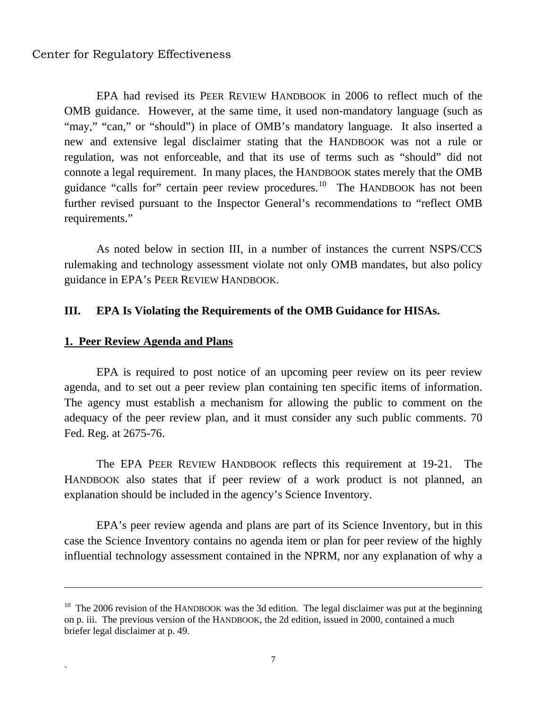EPA had revised its PEER REVIEW HANDBOOK in 2006 to reflect much of the OMB guidance. However, at the same time, it used non-mandatory language (such as "may," "can," or "should") in place of OMB's mandatory language. It also inserted a new and extensive legal disclaimer stating that the HANDBOOK was not a rule or regulation, was not enforceable, and that its use of terms such as "should" did not connote a legal requirement. In many places, the HANDBOOK states merely that the OMB guidance "calls for" certain peer review procedures.<sup>[10](#page-6-0)</sup> The HANDBOOK has not been further revised pursuant to the Inspector General's recommendations to "reflect OMB requirements."

 As noted below in section III, in a number of instances the current NSPS/CCS rulemaking and technology assessment violate not only OMB mandates, but also policy guidance in EPA's PEER REVIEW HANDBOOK.

#### **III. EPA Is Violating the Requirements of the OMB Guidance for HISAs.**

#### **1. Peer Review Agenda and Plans**

 $\overline{a}$ 

`

EPA is required to post notice of an upcoming peer review on its peer review agenda, and to set out a peer review plan containing ten specific items of information. The agency must establish a mechanism for allowing the public to comment on the adequacy of the peer review plan, and it must consider any such public comments. 70 Fed. Reg. at 2675-76.

 The EPA PEER REVIEW HANDBOOK reflects this requirement at 19-21. The HANDBOOK also states that if peer review of a work product is not planned, an explanation should be included in the agency's Science Inventory.

 EPA's peer review agenda and plans are part of its Science Inventory, but in this case the Science Inventory contains no agenda item or plan for peer review of the highly influential technology assessment contained in the NPRM, nor any explanation of why a

<span id="page-6-0"></span> $10$  The 2006 revision of the HANDBOOK was the 3d edition. The legal disclaimer was put at the beginning on p. iii. The previous version of the HANDBOOK, the 2d edition, issued in 2000, contained a much briefer legal disclaimer at p. 49.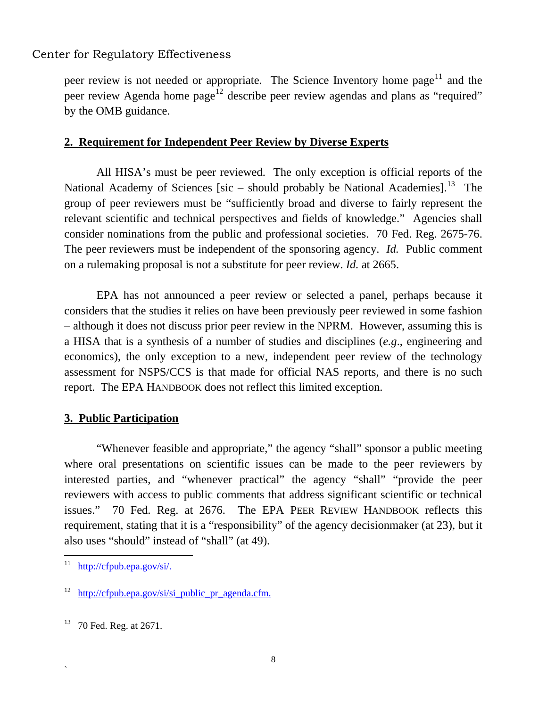peer review is not needed or appropriate. The Science Inventory home page<sup>[11](#page-7-0)</sup> and the peer review Agenda home page<sup>[12](#page-7-1)</sup> describe peer review agendas and plans as "required" by the OMB guidance.

#### **2. Requirement for Independent Peer Review by Diverse Experts**

All HISA's must be peer reviewed. The only exception is official reports of the National Academy of Sciences [sic – should probably be National Academies].<sup>[13](#page-7-2)</sup> The group of peer reviewers must be "sufficiently broad and diverse to fairly represent the relevant scientific and technical perspectives and fields of knowledge." Agencies shall consider nominations from the public and professional societies. 70 Fed. Reg. 2675-76. The peer reviewers must be independent of the sponsoring agency. *Id.* Public comment on a rulemaking proposal is not a substitute for peer review. *Id.* at 2665.

 EPA has not announced a peer review or selected a panel, perhaps because it considers that the studies it relies on have been previously peer reviewed in some fashion – although it does not discuss prior peer review in the NPRM. However, assuming this is a HISA that is a synthesis of a number of studies and disciplines (*e.g*., engineering and economics), the only exception to a new, independent peer review of the technology assessment for NSPS/CCS is that made for official NAS reports, and there is no such report. The EPA HANDBOOK does not reflect this limited exception.

## **3. Public Participation**

"Whenever feasible and appropriate," the agency "shall" sponsor a public meeting where oral presentations on scientific issues can be made to the peer reviewers by interested parties, and "whenever practical" the agency "shall" "provide the peer reviewers with access to public comments that address significant scientific or technical issues." 70 Fed. Reg. at 2676. The EPA PEER REVIEW HANDBOOK reflects this requirement, stating that it is a "responsibility" of the agency decisionmaker (at 23), but it also uses "should" instead of "shall" (at 49).

`

<span id="page-7-0"></span> $11$ <http://cfpub.epa.gov/si/>.

<span id="page-7-1"></span> $12$  [http://cfpub.epa.gov/si/si\\_public\\_pr\\_agenda.cfm.](http://cfpub.epa.gov/si/si_public_pr_agenda.cfm)

<span id="page-7-2"></span> $13$  70 Fed. Reg. at 2671.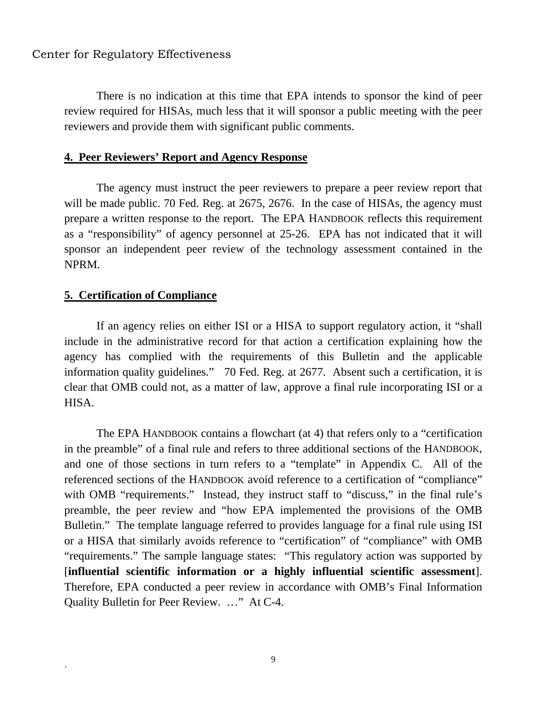There is no indication at this time that EPA intends to sponsor the kind of peer review required for HISAs, much less that it will sponsor a public meeting with the peer reviewers and provide them with significant public comments.

#### **4. Peer Reviewers' Report and Agency Response**

The agency must instruct the peer reviewers to prepare a peer review report that will be made public. 70 Fed. Reg. at 2675, 2676. In the case of HISAs, the agency must prepare a written response to the report. The EPA HANDBOOK reflects this requirement as a "responsibility" of agency personnel at 25-26. EPA has not indicated that it will sponsor an independent peer review of the technology assessment contained in the NPRM.

#### **5. Certification of Compliance**

`

If an agency relies on either ISI or a HISA to support regulatory action, it "shall include in the administrative record for that action a certification explaining how the agency has complied with the requirements of this Bulletin and the applicable information quality guidelines." 70 Fed. Reg. at 2677. Absent such a certification, it is clear that OMB could not, as a matter of law, approve a final rule incorporating ISI or a HISA.

 The EPA HANDBOOK contains a flowchart (at 4) that refers only to a "certification in the preamble" of a final rule and refers to three additional sections of the HANDBOOK, and one of those sections in turn refers to a "template" in Appendix C. All of the referenced sections of the HANDBOOK avoid reference to a certification of "compliance" with OMB "requirements." Instead, they instruct staff to "discuss," in the final rule's preamble, the peer review and "how EPA implemented the provisions of the OMB Bulletin." The template language referred to provides language for a final rule using ISI or a HISA that similarly avoids reference to "certification" of "compliance" with OMB "requirements." The sample language states: "This regulatory action was supported by [**influential scientific information or a highly influential scientific assessment**]. Therefore, EPA conducted a peer review in accordance with OMB's Final Information Quality Bulletin for Peer Review. …" At C-4.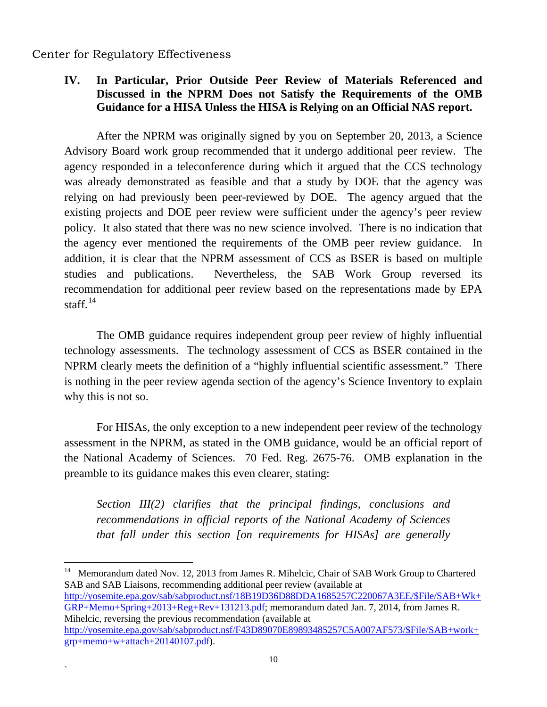1

`

## **IV. In Particular, Prior Outside Peer Review of Materials Referenced and Discussed in the NPRM Does not Satisfy the Requirements of the OMB Guidance for a HISA Unless the HISA is Relying on an Official NAS report.**

After the NPRM was originally signed by you on September 20, 2013, a Science Advisory Board work group recommended that it undergo additional peer review. The agency responded in a teleconference during which it argued that the CCS technology was already demonstrated as feasible and that a study by DOE that the agency was relying on had previously been peer-reviewed by DOE. The agency argued that the existing projects and DOE peer review were sufficient under the agency's peer review policy. It also stated that there was no new science involved. There is no indication that the agency ever mentioned the requirements of the OMB peer review guidance. In addition, it is clear that the NPRM assessment of CCS as BSER is based on multiple studies and publications. Nevertheless, the SAB Work Group reversed its recommendation for additional peer review based on the representations made by EPA staff. $^{14}$  $^{14}$  $^{14}$ 

 The OMB guidance requires independent group peer review of highly influential technology assessments. The technology assessment of CCS as BSER contained in the NPRM clearly meets the definition of a "highly influential scientific assessment." There is nothing in the peer review agenda section of the agency's Science Inventory to explain why this is not so.

 For HISAs, the only exception to a new independent peer review of the technology assessment in the NPRM, as stated in the OMB guidance, would be an official report of the National Academy of Sciences. 70 Fed. Reg. 2675-76. OMB explanation in the preamble to its guidance makes this even clearer, stating:

*Section III(2) clarifies that the principal findings, conclusions and recommendations in official reports of the National Academy of Sciences that fall under this section [on requirements for HISAs] are generally* 

<span id="page-9-0"></span><sup>14</sup> Memorandum dated Nov. 12, 2013 from James R. Mihelcic, Chair of SAB Work Group to Chartered SAB and SAB Liaisons, recommending additional peer review (available at [http://yosemite.epa.gov/sab/sabproduct.nsf/18B19D36D88DDA1685257C220067A3EE/\\$File/SAB+Wk+](http://yosemite.epa.gov/sab/sabproduct.nsf/18B19D36D88DDA1685257C220067A3EE/$File/SAB+Wk+GRP+Memo+Spring+2013+Reg+Rev+131213.pdf) [GRP+Memo+Spring+2013+Reg+Rev+131213.pdf;](http://yosemite.epa.gov/sab/sabproduct.nsf/18B19D36D88DDA1685257C220067A3EE/$File/SAB+Wk+GRP+Memo+Spring+2013+Reg+Rev+131213.pdf) memorandum dated Jan. 7, 2014, from James R. Mihelcic, reversing the previous recommendation (available at [http://yosemite.epa.gov/sab/sabproduct.nsf/F43D89070E89893485257C5A007AF573/\\$File/SAB+work+](http://yosemite.epa.gov/sab/sabproduct.nsf/F43D89070E89893485257C5A007AF573/$File/SAB+work+grp+memo+w+attach+20140107.pdf) [grp+memo+w+attach+20140107.pdf\)](http://yosemite.epa.gov/sab/sabproduct.nsf/F43D89070E89893485257C5A007AF573/$File/SAB+work+grp+memo+w+attach+20140107.pdf).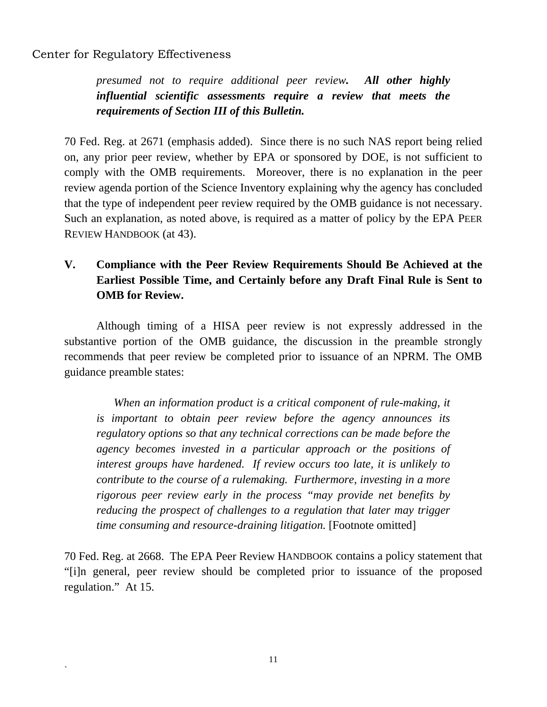`

*presumed not to require additional peer review. All other highly influential scientific assessments require a review that meets the requirements of Section III of this Bulletin.* 

70 Fed. Reg. at 2671 (emphasis added). Since there is no such NAS report being relied on, any prior peer review, whether by EPA or sponsored by DOE, is not sufficient to comply with the OMB requirements. Moreover, there is no explanation in the peer review agenda portion of the Science Inventory explaining why the agency has concluded that the type of independent peer review required by the OMB guidance is not necessary. Such an explanation, as noted above, is required as a matter of policy by the EPA PEER REVIEW HANDBOOK (at 43).

## **V. Compliance with the Peer Review Requirements Should Be Achieved at the Earliest Possible Time, and Certainly before any Draft Final Rule is Sent to OMB for Review.**

Although timing of a HISA peer review is not expressly addressed in the substantive portion of the OMB guidance, the discussion in the preamble strongly recommends that peer review be completed prior to issuance of an NPRM. The OMB guidance preamble states:

 *When an information product is a critical component of rule-making, it is important to obtain peer review before the agency announces its regulatory options so that any technical corrections can be made before the agency becomes invested in a particular approach or the positions of interest groups have hardened. If review occurs too late, it is unlikely to contribute to the course of a rulemaking. Furthermore, investing in a more rigorous peer review early in the process "may provide net benefits by reducing the prospect of challenges to a regulation that later may trigger time consuming and resource-draining litigation.* [Footnote omitted]

70 Fed. Reg. at 2668. The EPA Peer Review HANDBOOK contains a policy statement that "[i]n general, peer review should be completed prior to issuance of the proposed regulation." At 15.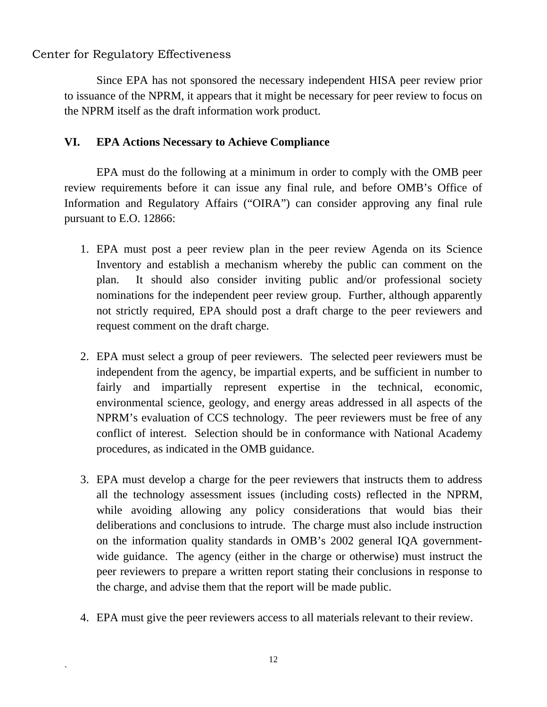`

 Since EPA has not sponsored the necessary independent HISA peer review prior to issuance of the NPRM, it appears that it might be necessary for peer review to focus on the NPRM itself as the draft information work product.

## **VI. EPA Actions Necessary to Achieve Compliance**

EPA must do the following at a minimum in order to comply with the OMB peer review requirements before it can issue any final rule, and before OMB's Office of Information and Regulatory Affairs ("OIRA") can consider approving any final rule pursuant to E.O. 12866:

- 1. EPA must post a peer review plan in the peer review Agenda on its Science Inventory and establish a mechanism whereby the public can comment on the plan. It should also consider inviting public and/or professional society nominations for the independent peer review group. Further, although apparently not strictly required, EPA should post a draft charge to the peer reviewers and request comment on the draft charge.
- 2. EPA must select a group of peer reviewers. The selected peer reviewers must be independent from the agency, be impartial experts, and be sufficient in number to fairly and impartially represent expertise in the technical, economic, environmental science, geology, and energy areas addressed in all aspects of the NPRM's evaluation of CCS technology. The peer reviewers must be free of any conflict of interest. Selection should be in conformance with National Academy procedures, as indicated in the OMB guidance.
- 3. EPA must develop a charge for the peer reviewers that instructs them to address all the technology assessment issues (including costs) reflected in the NPRM, while avoiding allowing any policy considerations that would bias their deliberations and conclusions to intrude. The charge must also include instruction on the information quality standards in OMB's 2002 general IQA governmentwide guidance. The agency (either in the charge or otherwise) must instruct the peer reviewers to prepare a written report stating their conclusions in response to the charge, and advise them that the report will be made public.
- 4. EPA must give the peer reviewers access to all materials relevant to their review.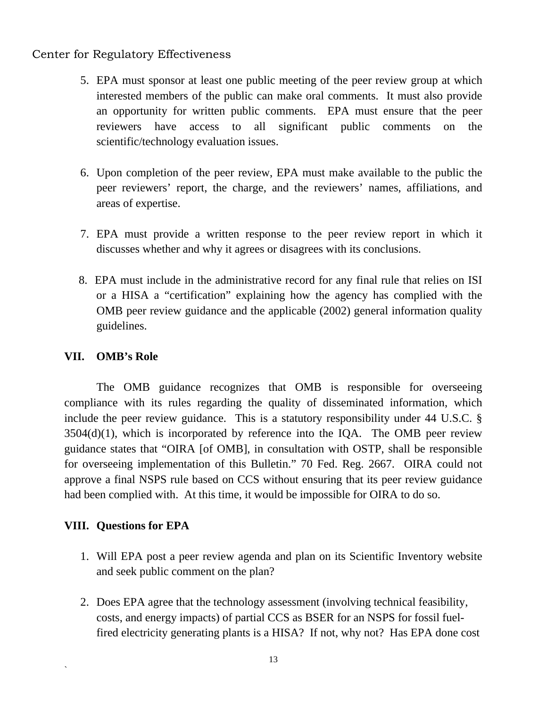- 5. EPA must sponsor at least one public meeting of the peer review group at which interested members of the public can make oral comments. It must also provide an opportunity for written public comments. EPA must ensure that the peer reviewers have access to all significant public comments on the scientific/technology evaluation issues.
- 6. Upon completion of the peer review, EPA must make available to the public the peer reviewers' report, the charge, and the reviewers' names, affiliations, and areas of expertise.
- 7. EPA must provide a written response to the peer review report in which it discusses whether and why it agrees or disagrees with its conclusions.
- 8. EPA must include in the administrative record for any final rule that relies on ISI or a HISA a "certification" explaining how the agency has complied with the OMB peer review guidance and the applicable (2002) general information quality guidelines.

## **VII. OMB's Role**

The OMB guidance recognizes that OMB is responsible for overseeing compliance with its rules regarding the quality of disseminated information, which include the peer review guidance. This is a statutory responsibility under 44 U.S.C. §  $3504(d)(1)$ , which is incorporated by reference into the IQA. The OMB peer review guidance states that "OIRA [of OMB], in consultation with OSTP, shall be responsible for overseeing implementation of this Bulletin." 70 Fed. Reg. 2667. OIRA could not approve a final NSPS rule based on CCS without ensuring that its peer review guidance had been complied with. At this time, it would be impossible for OIRA to do so.

## **VIII. Questions for EPA**

`

- 1. Will EPA post a peer review agenda and plan on its Scientific Inventory website and seek public comment on the plan?
- 2. Does EPA agree that the technology assessment (involving technical feasibility, costs, and energy impacts) of partial CCS as BSER for an NSPS for fossil fuelfired electricity generating plants is a HISA? If not, why not? Has EPA done cost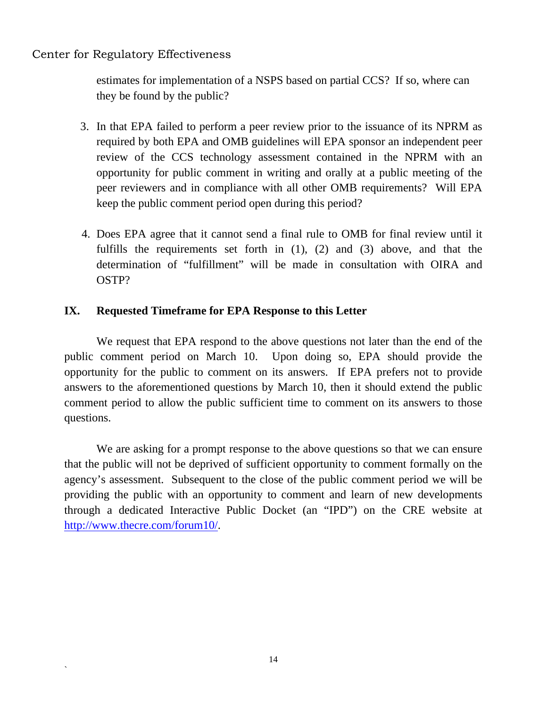`

estimates for implementation of a NSPS based on partial CCS? If so, where can they be found by the public?

- 3. In that EPA failed to perform a peer review prior to the issuance of its NPRM as required by both EPA and OMB guidelines will EPA sponsor an independent peer review of the CCS technology assessment contained in the NPRM with an opportunity for public comment in writing and orally at a public meeting of the peer reviewers and in compliance with all other OMB requirements? Will EPA keep the public comment period open during this period?
- 4. Does EPA agree that it cannot send a final rule to OMB for final review until it fulfills the requirements set forth in (1), (2) and (3) above, and that the determination of "fulfillment" will be made in consultation with OIRA and OSTP?

## **IX. Requested Timeframe for EPA Response to this Letter**

 We request that EPA respond to the above questions not later than the end of the public comment period on March 10. Upon doing so, EPA should provide the opportunity for the public to comment on its answers. If EPA prefers not to provide answers to the aforementioned questions by March 10, then it should extend the public comment period to allow the public sufficient time to comment on its answers to those questions.

 We are asking for a prompt response to the above questions so that we can ensure that the public will not be deprived of sufficient opportunity to comment formally on the agency's assessment. Subsequent to the close of the public comment period we will be providing the public with an opportunity to comment and learn of new developments through a dedicated Interactive Public Docket (an "IPD") on the CRE website at [http://www.thecre.com/forum10/.](http://www.thecre.com/forum10/)